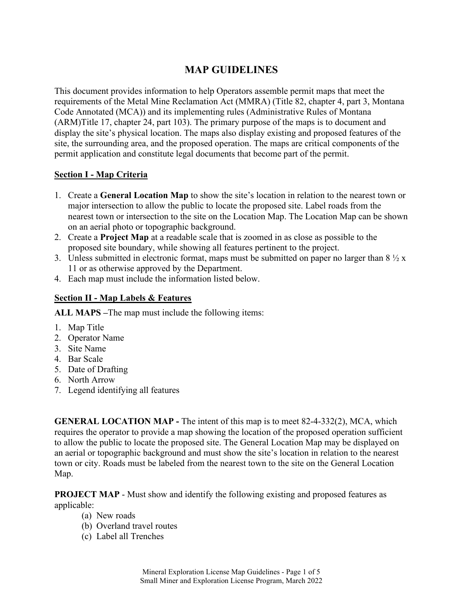## **MAP GUIDELINES**

This document provides information to help Operators assemble permit maps that meet the requirements of the Metal Mine Reclamation Act (MMRA) (Title 82, chapter 4, part 3, Montana Code Annotated (MCA)) and its implementing rules (Administrative Rules of Montana (ARM)Title 17, chapter 24, part 103). The primary purpose of the maps is to document and display the site's physical location. The maps also display existing and proposed features of the site, the surrounding area, and the proposed operation. The maps are critical components of the permit application and constitute legal documents that become part of the permit.

## **Section I - Map Criteria**

- 1. Create a **General Location Map** to show the site's location in relation to the nearest town or major intersection to allow the public to locate the proposed site. Label roads from the nearest town or intersection to the site on the Location Map. The Location Map can be shown on an aerial photo or topographic background.
- 2. Create a **Project Map** at a readable scale that is zoomed in as close as possible to the proposed site boundary, while showing all features pertinent to the project.
- 3. Unless submitted in electronic format, maps must be submitted on paper no larger than  $8\frac{1}{2}x$ 11 or as otherwise approved by the Department.
- 4. Each map must include the information listed below.

## **Section II - Map Labels & Features**

**ALL MAPS –**The map must include the following items:

- 1. Map Title
- 2. Operator Name
- 3. Site Name
- 4. Bar Scale
- 5. Date of Drafting
- 6. North Arrow
- 7. Legend identifying all features

**GENERAL LOCATION MAP** - The intent of this map is to meet 82-4-332(2), MCA, which requires the operator to provide a map showing the location of the proposed operation sufficient to allow the public to locate the proposed site. The General Location Map may be displayed on an aerial or topographic background and must show the site's location in relation to the nearest town or city. Roads must be labeled from the nearest town to the site on the General Location Map.

**PROJECT MAP** - Must show and identify the following existing and proposed features as applicable:

- (a) New roads
- (b) Overland travel routes
- (c) Label all Trenches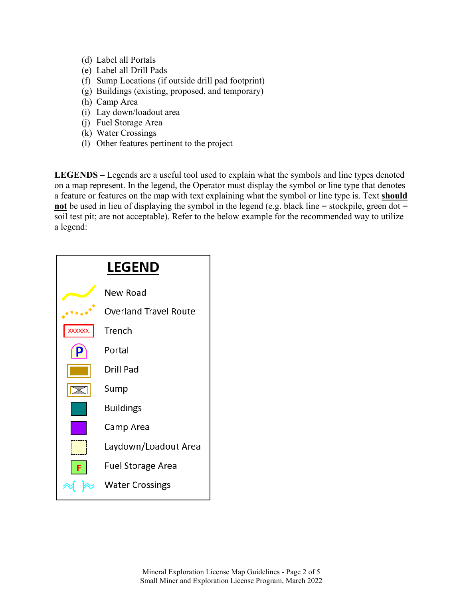- (d) Label all Portals
- (e) Label all Drill Pads
- (f) Sump Locations (if outside drill pad footprint)
- (g) Buildings (existing, proposed, and temporary)
- (h) Camp Area
- (i) Lay down/loadout area
- (j) Fuel Storage Area
- (k) Water Crossings
- (l) Other features pertinent to the project

**LEGENDS –** Legends are a useful tool used to explain what the symbols and line types denoted on a map represent. In the legend, the Operator must display the symbol or line type that denotes a feature or features on the map with text explaining what the symbol or line type is. Text **should not** be used in lieu of displaying the symbol in the legend (e.g. black line = stockpile, green dot = soil test pit; are not acceptable). Refer to the below example for the recommended way to utilize a legend:

| <b>LEGEND</b> |                              |
|---------------|------------------------------|
|               | New Road                     |
|               | <b>Overland Travel Route</b> |
| <b>XXXXXX</b> | Trench                       |
|               | Portal                       |
|               | <b>Drill Pad</b>             |
|               | Sump                         |
|               | <b>Buildings</b>             |
|               | Camp Area                    |
|               | Laydown/Loadout Area         |
|               | <b>Fuel Storage Area</b>     |
|               | <b>Water Crossings</b>       |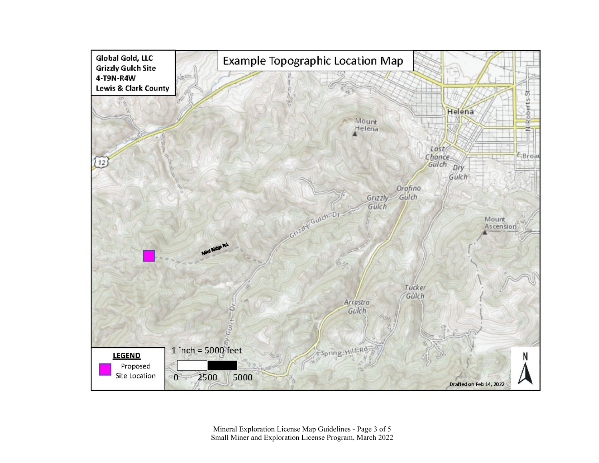

Mineral Exploration License Map Guidelines - Page 3 of 5 Small Miner and Exploration License Program, March 2022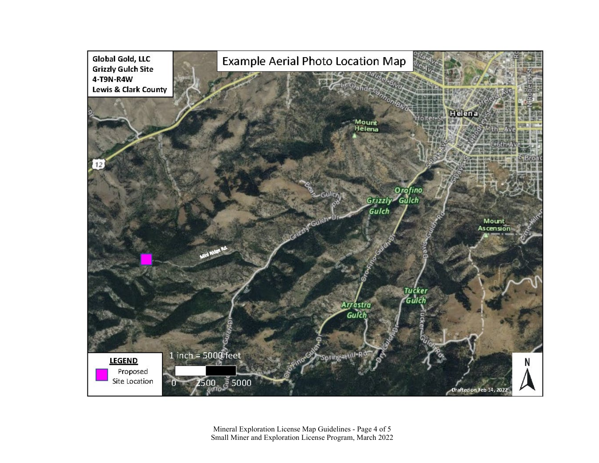

Mineral Exploration License Map Guidelines - Page 4 of 5 Small Miner and Exploration License Program, March 2022